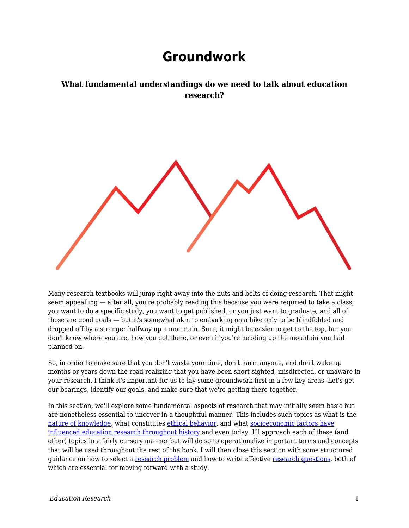## **Groundwork**

## **What fundamental understandings do we need to talk about education research?**

Many research textbooks will jump right away into the nuts and bolts of doing research. That might seem appealling — after all, you're probably reading this because you were requried to take a class, you want to do a specific study, you want to get published, or you just want to graduate, and all of those are good goals — but it's somewhat akin to embarking on a hike only to be blindfolded and dropped off by a stranger halfway up a mountain. Sure, it might be easier to get to the top, but you don't know where you are, how you got there, or even if you're heading up the mountain you had planned on.

So, in order to make sure that you don't waste your time, don't harm anyone, and don't wake up months or years down the road realizing that you have been short-sighted, misdirected, or unaware in your research, I think it's important for us to lay some groundwork first in a few key areas. Let's get our bearings, identify our goals, and make sure that we're getting there together.

In this section, we'll explore some fundamental aspects of research that may initially seem basic but are nonetheless essential to uncover in a thoughtful manner. This includes such topics as what is the [nature of knowledge](https://edtechbooks.org/education_research/knowing), what constitutes [ethical behavior,](https://edtechbooks.org/education_research/ethics) and what [socioeconomic factors have](https://edtechbooks.org/education_research/influences) [influenced education research throughout history](https://edtechbooks.org/education_research/influences) and even today. I'll approach each of these (and other) topics in a fairly cursory manner but will do so to operationalize important terms and concepts that will be used throughout the rest of the book. I will then close this section with some structured guidance on how to select a [research problem](https://edtechbooks.org/education_research/problems) and how to write effective [research questions,](https://edtechbooks.org/education_research/questions) both of which are essential for moving forward with a study.